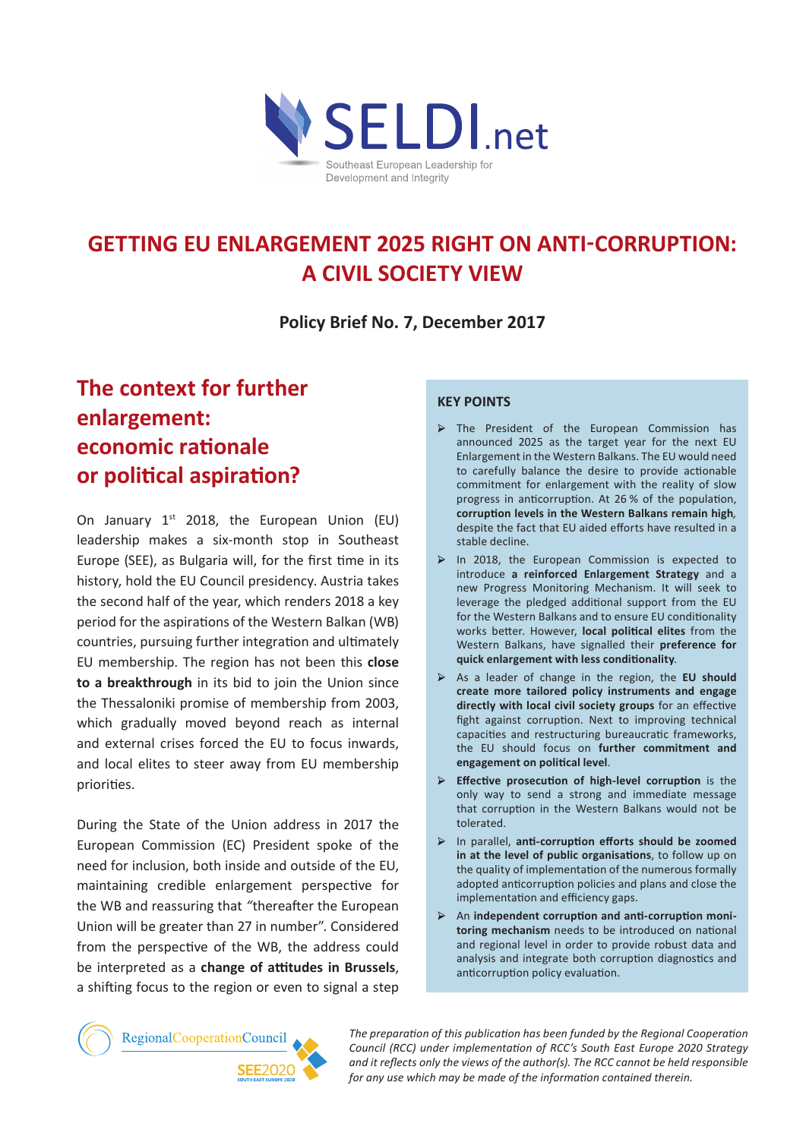

# **GETTING EU ENLARGEMENT 2025 RIGHT ON ANTI-CORRUPTION: A CIVIL SOCIETY VIEW**

**Policy Brief No. 7, December 2017**

# **The context for further enlargement: economic rationale or political aspiration?**

On January  $1^{st}$  2018, the European Union (EU) leadership makes a six-month stop in Southeast Europe (SEE), as Bulgaria will, for the first time in its history, hold the EU Council presidency. Austria takes the second half of the year, which renders 2018 a key period for the aspirations of the Western Balkan (WB) countries, pursuing further integration and ultimately EU membership. The region has not been this **close to a breakthrough** in its bid to join the Union since the Thessaloniki promise of membership from 2003, which gradually moved beyond reach as internal and external crises forced the EU to focus inwards, and local elites to steer away from EU membership priorities.

During the State of the Union address in 2017 the European Commission (EC) President spoke of the need for inclusion, both inside and outside of the EU, maintaining credible enlargement perspective for the WB and reassuring that *"*thereafter the European Union will be greater than 27 in number". Considered from the perspective of the WB, the address could be interpreted as a **change of attitudes in Brussels**, a shifting focus to the region or even to signal a step

#### **Key points**

- → The President of the European Commission has announced 2025 as the target year for the next EU Enlargement in the Western Balkans. The EU would need to carefully balance the desire to provide actionable commitment for enlargement with the reality of slow progress in anticorruption. At 26 % of the population, **corruption levels in the Western Balkans remain high***,* despite the fact that EU aided efforts have resulted in a stable decline.
- → In 2018, the European Commission is expected to introduce **a reinforced Enlargement Strategy** and a new Progress Monitoring Mechanism. It will seek to leverage the pledged additional support from the EU for the Western Balkans and to ensure EU conditionality works better. However, **local political elites** from the Western Balkans, have signalled their **preference for quick enlargement with less conditionality**.
- → As a leader of change in the region, the **EU should create more tailored policy instruments and engage directly with local civil society groups** for an effective fight against corruption. Next to improving technical capacities and restructuring bureaucratic frameworks, the EU should focus on **further commitment and engagement on political level**.
- → **Effective prosecution of high-level corruption** is the only way to send a strong and immediate message that corruption in the Western Balkans would not be tolerated.
- → In parallel, **anti-corruption efforts should be zoomed in at the level of public organisations**, to follow up on the quality of implementation of the numerous formally adopted anticorruption policies and plans and close the implementation and efficiency gaps.
- → An **independent corruption and anti-corruption monitoring mechanism** needs to be introduced on national and regional level in order to provide robust data and analysis and integrate both corruption diagnostics and anticorruption policy evaluation.



*The preparation of this publication has been funded by the Regional Cooperation Council (RCC) under implementation of RCC's South East Europe 2020 Strategy and it reflects only the views of the author(s). The RCC cannot be held responsible for any use which may be made of the information contained therein.*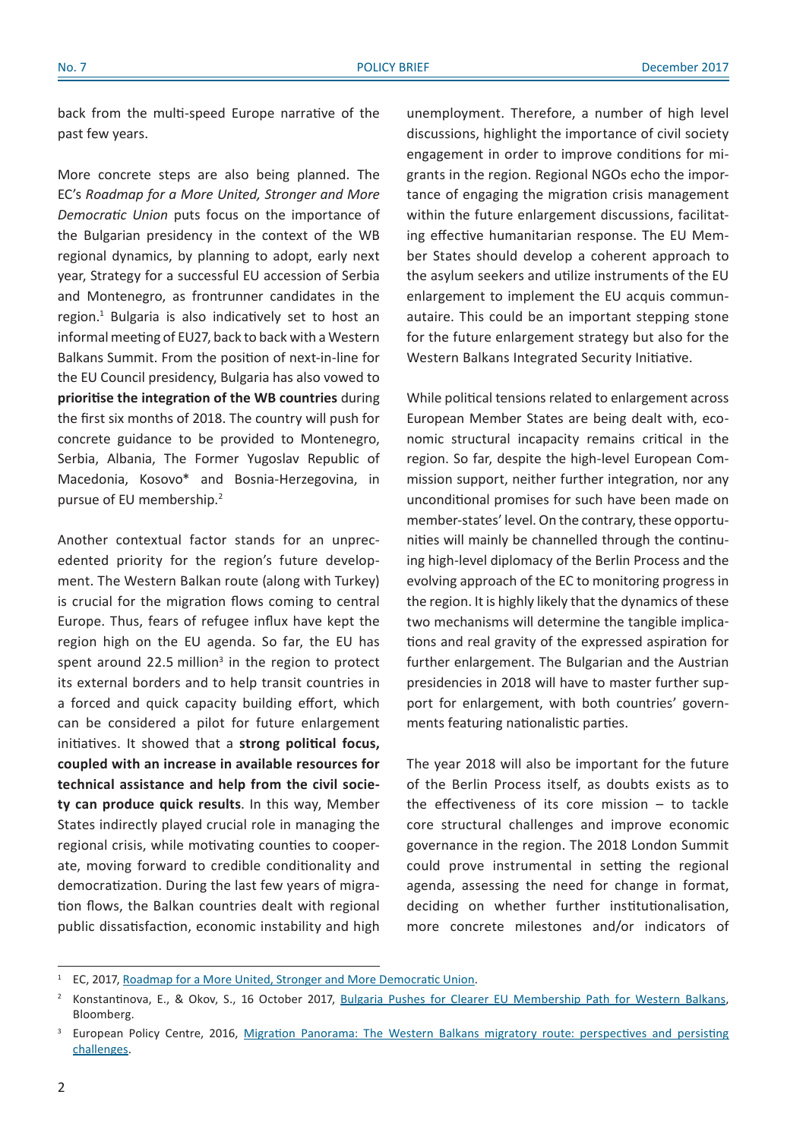back from the multi-speed Europe narrative of the past few years.

More concrete steps are also being planned. The EC's *Roadmap for a More United, Stronger and More Democratic Union* puts focus on the importance of the Bulgarian presidency in the context of the WB regional dynamics, by planning to adopt, early next year, Strategy for a successful EU accession of Serbia and Montenegro, as frontrunner candidates in the region.<sup>1</sup> Bulgaria is also indicatively set to host an informal meeting of EU27, back to back with a Western Balkans Summit. From the position of next-in-line for the EU Council presidency, Bulgaria has also vowed to **prioritise the integration of the WB countries** during the first six months of 2018. The country will push for concrete guidance to be provided to Montenegro, Serbia, Albania, The Former Yugoslav Republic of Macedonia, Kosovo\* and Bosnia-Herzegovina, in pursue of EU membership.2

Another contextual factor stands for an unprecedented priority for the region's future development. The Western Balkan route (along with Turkey) is crucial for the migration flows coming to central Europe. Thus, fears of refugee influx have kept the region high on the EU agenda. So far, the EU has spent around 22.5 million<sup>3</sup> in the region to protect its external borders and to help transit countries in a forced and quick capacity building effort, which can be considered a pilot for future enlargement initiatives. It showed that a **strong political focus, coupled with an increase in available resources for technical assistance and help from the civil society can produce quick results**. In this way, Member States indirectly played crucial role in managing the regional crisis, while motivating counties to cooperate, moving forward to credible conditionality and democratization. During the last few years of migration flows, the Balkan countries dealt with regional public dissatisfaction, economic instability and high

unemployment. Therefore, a number of high level discussions, highlight the importance of civil society engagement in order to improve conditions for migrants in the region. Regional NGOs echo the importance of engaging the migration crisis management within the future enlargement discussions, facilitating effective humanitarian response. The EU Member States should develop a coherent approach to the asylum seekers and utilize instruments of the EU enlargement to implement the EU acquis communautaire. This could be an important stepping stone for the future enlargement strategy but also for the Western Balkans Integrated Security Initiative.

While political tensions related to enlargement across European Member States are being dealt with, economic structural incapacity remains critical in the region. So far, despite the high-level European Commission support, neither further integration, nor any unconditional promises for such have been made on member-states' level. On the contrary, these opportunities will mainly be channelled through the continuing high-level diplomacy of the Berlin Process and the evolving approach of the EC to monitoring progress in the region. It is highly likely that the dynamics of these two mechanisms will determine the tangible implications and real gravity of the expressed aspiration for further enlargement. The Bulgarian and the Austrian presidencies in 2018 will have to master further support for enlargement, with both countries' governments featuring nationalistic parties.

The year 2018 will also be important for the future of the Berlin Process itself, as doubts exists as to the effectiveness of its core mission – to tackle core structural challenges and improve economic governance in the region. The 2018 London Summit could prove instrumental in setting the regional agenda, assessing the need for change in format, deciding on whether further institutionalisation, more concrete milestones and/or indicators of

<sup>&</sup>lt;sup>1</sup> EC, 2017, [Roadmap for a More United, Stronger and More Democratic Unio](https://ec.europa.eu/commission/sites/beta-political/files/roadmap-soteu-factsheet_en.pdf)n.

<sup>&</sup>lt;sup>2</sup> Konstantinova, E., & Okov, S., 16 October 2017, Bulgaria Pushes for Clearer EU [Membership](https://www.bloomberg.com/news/articles/2017-10-16/poorest-eu-state-to-push-for-further-expansion-as-it-takes-helm) Path for Western Balkans, Bloomberg.

European Policy Centre, 2016, Migration Panorama: The Western Balkans migratory route: perspectives and persisting [challenges.](http://aei.pitt.edu/82985/1/pub_7306_westernbalkansmigratoryroute.pdf)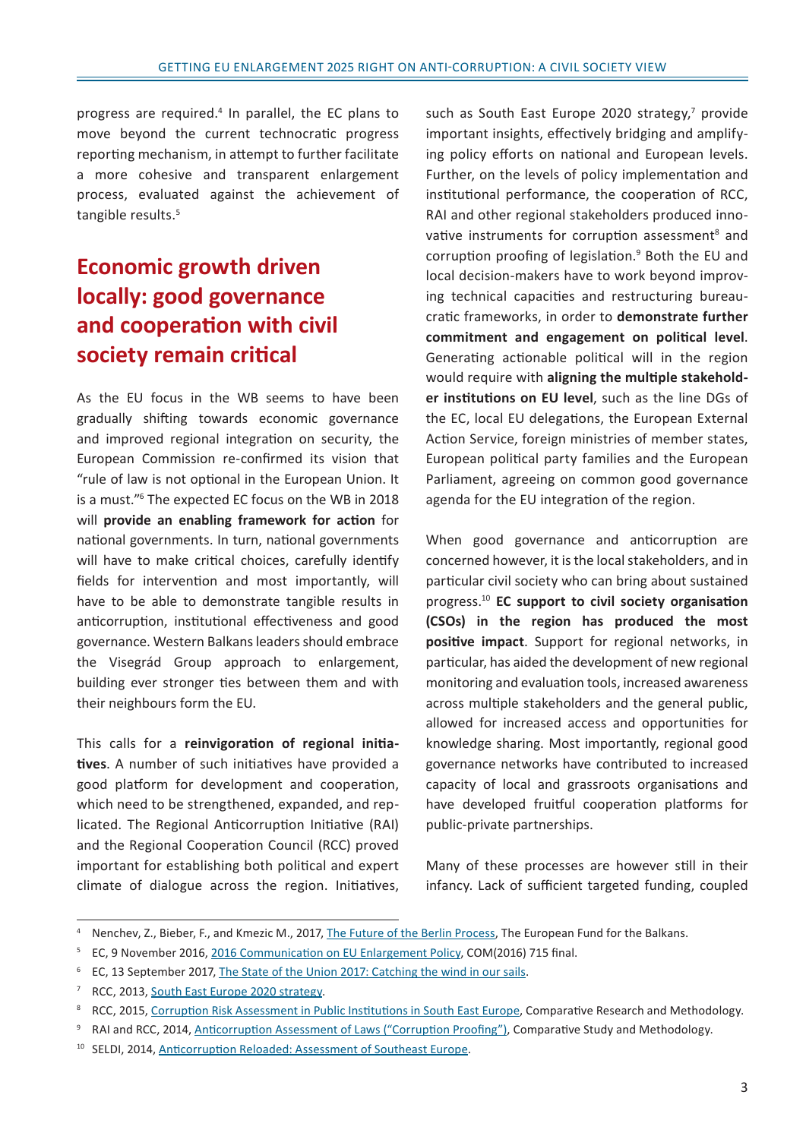progress are required.<sup>4</sup> In parallel, the EC plans to move beyond the current technocratic progress reporting mechanism, in attempt to further facilitate a more cohesive and transparent enlargement process, evaluated against the achievement of tangible results.<sup>5</sup>

# **Economic growth driven locally: good governance and cooperation with civil society remain critical**

As the EU focus in the WB seems to have been gradually shifting towards economic governance and improved regional integration on security, the European Commission re-confirmed its vision that "rule of law is not optional in the European Union. It is a must."<sup>6</sup> The expected EC focus on the WB in 2018 will **provide an enabling framework for action** for national governments. In turn, national governments will have to make critical choices, carefully identify fields for intervention and most importantly, will have to be able to demonstrate tangible results in anticorruption, institutional effectiveness and good governance. Western Balkans leaders should embrace the Visegrád Group approach to enlargement, building ever stronger ties between them and with their neighbours form the EU.

This calls for a **reinvigoration of regional initiatives**. A number of such initiatives have provided a good platform for development and cooperation, which need to be strengthened, expanded, and replicated. The Regional Anticorruption Initiative (RAI) and the Regional Cooperation Council (RCC) proved important for establishing both political and expert climate of dialogue across the region. Initiatives,

such as South East Europe 2020 strategy, $<sup>7</sup>$  provide</sup> important insights, effectively bridging and amplifying policy efforts on national and European levels. Further, on the levels of policy implementation and institutional performance, the cooperation of RCC, RAI and other regional stakeholders produced innovative instruments for corruption assessment<sup>8</sup> and corruption proofing of legislation.<sup>9</sup> Both the EU and local decision-makers have to work beyond improving technical capacities and restructuring bureaucratic frameworks, in order to **demonstrate further commitment and engagement on political level**. Generating actionable political will in the region would require with **aligning the multiple stakeholder institutions on EU level**, such as the line DGs of the EC, local EU delegations, the European External Action Service, foreign ministries of member states, European political party families and the European Parliament, agreeing on common good governance agenda for the EU integration of the region.

When good governance and anticorruption are concerned however, it is the local stakeholders, and in particular civil society who can bring about sustained progress.10 **EC support to civil society organisation (CSOs) in the region has produced the most positive impact**. Support for regional networks, in particular, has aided the development of new regional monitoring and evaluation tools, increased awareness across multiple stakeholders and the general public, allowed for increased access and opportunities for knowledge sharing. Most importantly, regional good governance networks have contributed to increased capacity of local and grassroots organisations and have developed fruitful cooperation platforms for public-private partnerships.

Many of these processes are however still in their infancy. Lack of sufficient targeted funding, coupled

<sup>&</sup>lt;sup>4</sup> Nenchev, Z., Bieber, F., and Kmezic M., 2017, The Future of the Berlin [Process](http://www.biepag.eu/wp-content/uploads/2017/07/The-Future-of-the-Berlin-Process.pdf), The European Fund for the Balkans.

<sup>&</sup>lt;sup>5</sup> EC, 9 November 2016, [2016 Communication on EU Enlargement Polic](https://ec.europa.eu/neighbourhood-enlargement/sites/near/files/20161109_strategy_paper_en.pdf)y, COM(2016) 715 final.

<sup>&</sup>lt;sup>6</sup> EC, 13 September 2017, [The State of the Union 2017: Catching the wind in our sail](http://europa.eu/rapid/press-release_IP-17-3164_en.htm)s.

<sup>&</sup>lt;sup>7</sup> RCC, 2013, South East Europe 2020 [strategy](http://www.rcc.int/files/user/docs/reports/SEE2020-Strategy.pdf).

<sup>&</sup>lt;sup>8</sup> RCC, 2015, [Corruption Risk Assessment in Public Institutions in South East Europ](http://rai-see.org/wp-content/uploads/2015/10/CRA_in_public_ins_in_SEE-WEB_final.pdf)e, Comparative Research and Methodology.

RAI and RCC, 2014, [Anticorruption Assessment of Laws \("Corruption Proofing"\),](http://rai-see.org/wp-content/uploads/2015/06/Comparative_Study-Methodology_on_Anti-corruption_Assessment_of_Laws.pdf) Comparative Study and Methodology.

<sup>&</sup>lt;sup>10</sup> SELDI, 2014, [Anticorruption Reloaded: Assessment of Southeast Europ](http://seldi.net/fileadmin/public/PDF/Publications/RAR/SELDI_Regional_Anticorruption_Report_Final_Revised.pdf)e.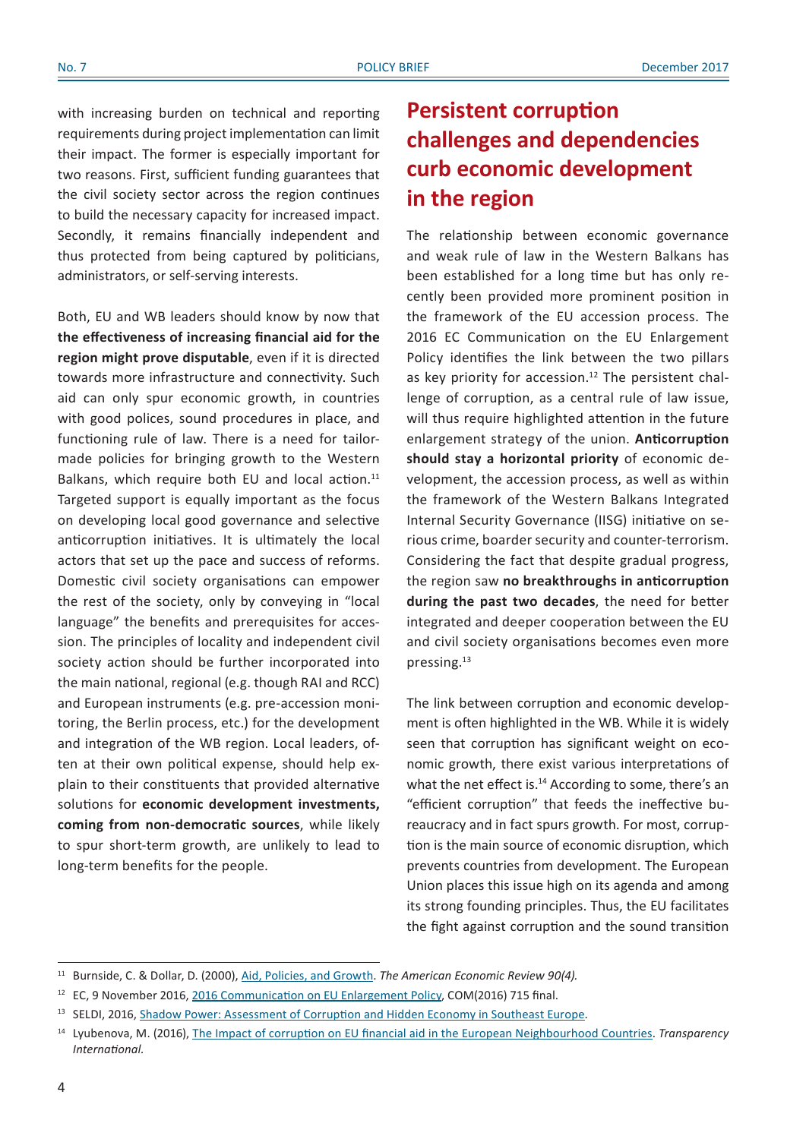with increasing burden on technical and reporting requirements during project implementation can limit their impact. The former is especially important for two reasons. First, sufficient funding guarantees that the civil society sector across the region continues to build the necessary capacity for increased impact. Secondly, it remains financially independent and thus protected from being captured by politicians, administrators, or self-serving interests.

Both, EU and WB leaders should know by now that **the effectiveness of increasing financial aid for the region might prove disputable**, even if it is directed towards more infrastructure and connectivity. Such aid can only spur economic growth, in countries with good polices, sound procedures in place, and functioning rule of law. There is a need for tailormade policies for bringing growth to the Western Balkans, which require both EU and local action.<sup>11</sup> Targeted support is equally important as the focus on developing local good governance and selective anticorruption initiatives. It is ultimately the local actors that set up the pace and success of reforms. Domestic civil society organisations can empower the rest of the society, only by conveying in "local language" the benefits and prerequisites for accession. The principles of locality and independent civil society action should be further incorporated into the main national, regional (e.g. though RAI and RCC) and European instruments (e.g. pre-accession monitoring, the Berlin process, etc.) for the development and integration of the WB region. Local leaders, often at their own political expense, should help explain to their constituents that provided alternative solutions for **economic development investments, coming from non-democratic sources**, while likely to spur short-term growth, are unlikely to lead to long-term benefits for the people.

## **Persistent corruption challenges and dependencies curb economic development in the region**

The relationship between economic governance and weak rule of law in the Western Balkans has been established for a long time but has only recently been provided more prominent position in the framework of the EU accession process. The 2016 EC Communication on the EU Enlargement Policy identifies the link between the two pillars as key priority for accession.<sup>12</sup> The persistent challenge of corruption, as a central rule of law issue, will thus require highlighted attention in the future enlargement strategy of the union. **Anticorruption should stay a horizontal priority** of economic development, the accession process, as well as within the framework of the Western Balkans Integrated Internal Security Governance (IISG) initiative on serious crime, boarder security and counter-terrorism. Considering the fact that despite gradual progress, the region saw **no breakthroughs in anticorruption during the past two decades**, the need for better integrated and deeper cooperation between the EU and civil society organisations becomes even more pressing.13

The link between corruption and economic development is often highlighted in the WB. While it is widely seen that corruption has significant weight on economic growth, there exist various interpretations of what the net effect is.<sup>14</sup> According to some, there's an "efficient corruption" that feeds the ineffective bureaucracy and in fact spurs growth. For most, corruption is the main source of economic disruption, which prevents countries from development. The European Union places this issue high on its agenda and among its strong founding principles. Thus, the EU facilitates the fight against corruption and the sound transition

<sup>11</sup> Burnside, C. & Dollar, D. (2000), [Aid, Policies, and Growt](http://www.development.wne.uw.edu.pl/uploads/Courses/de_jt_burnsidedollar.pdf)h. *The American Economic Review 90(4).*

<sup>&</sup>lt;sup>12</sup> EC, 9 November 2016, [2016 Communication on EU Enlargement Polic](https://ec.europa.eu/neighbourhood-enlargement/sites/near/files/20161109_strategy_paper_en.pdf)y, COM(2016) 715 final.

<sup>&</sup>lt;sup>13</sup> SELDI, 2016, [Shadow Power: Assessment of Corruption and Hidden Economy in Southeast Europ](http://seldi.net/publications/publications/shadow-power-assessment-of-corruption-and-hidden-economy-in-southeast-europe/)e.

<sup>14</sup> Lyubenova, M. (2016), [The Impact of corruption on EU financial aid in the European Neighbourhood Countrie](http://corruptionresearchnetwork.org/acrn-news/blog/the-impact-of-corruption-on-eu-financial-aid-in-european-neighbourhood-countries)s. *Transparency International.*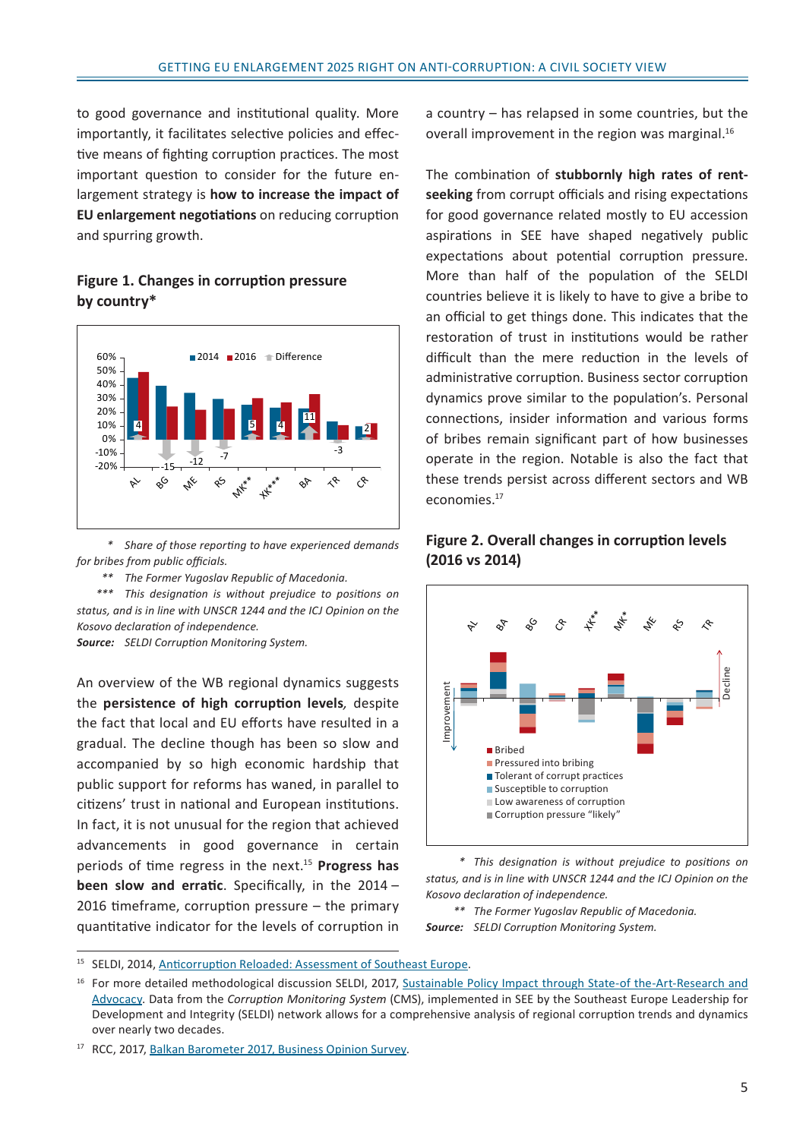to good governance and institutional quality. More importantly, it facilitates selective policies and effective means of fighting corruption practices. The most important question to consider for the future enlargement strategy is **how to increase the impact of EU enlargement negotiations** on reducing corruption and spurring growth.

### **Figure 1. Changes in corruption pressure by country\***



 *\* Share of those reporting to have experienced demands for bribes from public officials.*

 *\*\* The Former Yugoslav Republic of Macedonia.*

 *\*\*\* This designation is without prejudice to positions on status, and is in line with UNSCR 1244 and the ICJ Opinion on the Kosovo declaration of independence.*

*Source: SELDI Corruption Monitoring System.*

An overview of the WB regional dynamics suggests the **persistence of high corruption levels***,* despite the fact that local and EU efforts have resulted in a gradual. The decline though has been so slow and accompanied by so high economic hardship that public support for reforms has waned, in parallel to citizens' trust in national and European institutions. In fact, it is not unusual for the region that achieved advancements in good governance in certain periods of time regress in the next.<sup>15</sup> **Progress has been slow and erratic**. Specifically, in the 2014 – 2016 timeframe, corruption pressure – the primary quantitative indicator for the levels of corruption in

a country – has relapsed in some countries, but the overall improvement in the region was marginal.<sup>16</sup>

The combination of **stubbornly high rates of rentseeking** from corrupt officials and rising expectations for good governance related mostly to EU accession aspirations in SEE have shaped negatively public expectations about potential corruption pressure. More than half of the population of the SELDI countries believe it is likely to have to give a bribe to an official to get things done. This indicates that the restoration of trust in institutions would be rather difficult than the mere reduction in the levels of administrative corruption. Business sector corruption dynamics prove similar to the population's. Personal connections, insider information and various forms of bribes remain significant part of how businesses operate in the region. Notable is also the fact that these trends persist across different sectors and WB economies.17





 *\* This designation is without prejudice to positions on status, and is in line with UNSCR 1244 and the ICJ Opinion on the Kosovo declaration of independence.*

 *\*\* The Former Yugoslav Republic of Macedonia. Source: SELDI Corruption Monitoring System.*

<sup>&</sup>lt;sup>15</sup> SELDI, 2014, [Anticorruption Reloaded: Assessment of Southeast Europ](http://seldi.net/fileadmin/public/PDF/Publications/RAR/SELDI_Regional_Anticorruption_Report_Final_Revised.pdf)e.

<sup>&</sup>lt;sup>16</sup> For more detailed methodological discussion SELDI, 2017, Sustainable Policy Impact through State-of the-Art-Research and [Advocac](http://seldi.net/publications/publications/sustainable-policy-impact-through-state-of-the-art-research-and-advocacy/)y. Data from the *Corruption Monitoring System* (CMS), implemented in SEE by the Southeast Europe Leadership for Development and Integrity (SELDI) network allows for a comprehensive analysis of regional corruption trends and dynamics over nearly two decades.

<sup>&</sup>lt;sup>17</sup> RCC, 2017, [Balkan Barometer 2017, Business Opinion Surve](http://www.rcc.int/seeds/files/RCC_BalkanBarometer_BusinessOpinion_2017.pdf)y.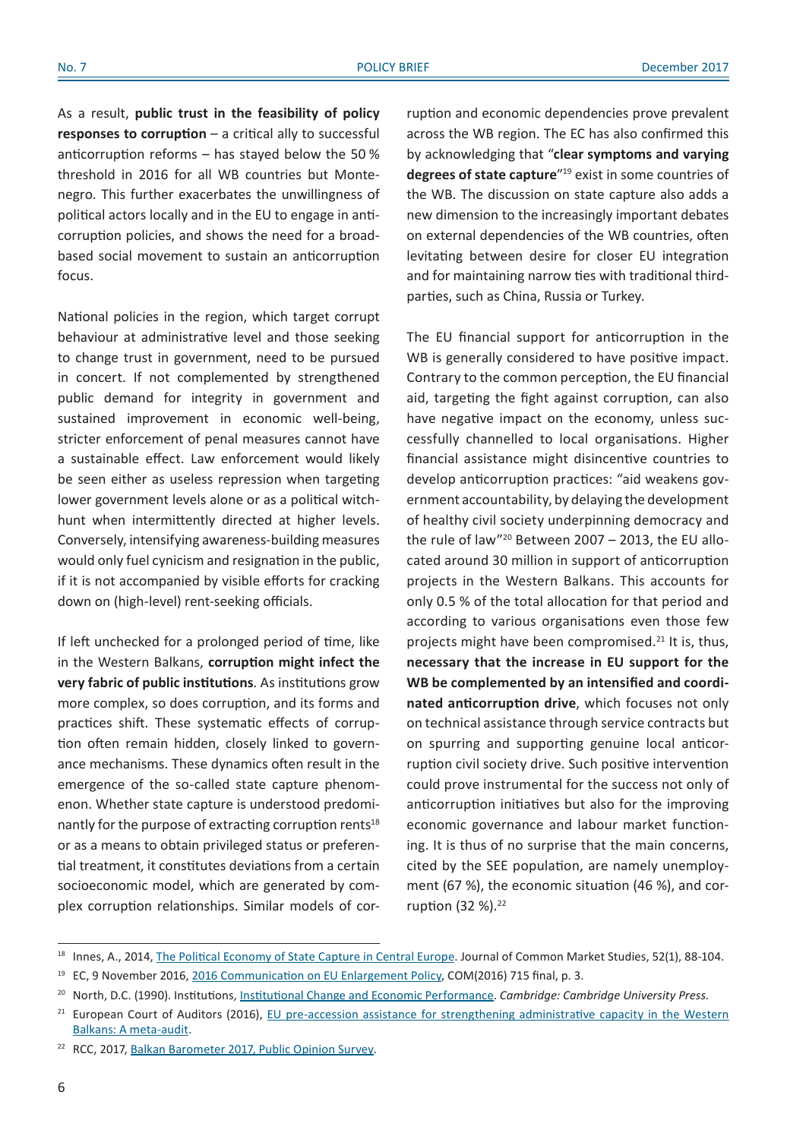As a result, **public trust in the feasibility of policy responses to corruption** – a critical ally to successful anticorruption reforms – has stayed below the 50 % threshold in 2016 for all WB countries but Montenegro. This further exacerbates the unwillingness of political actors locally and in the EU to engage in anticorruption policies, and shows the need for a broadbased social movement to sustain an anticorruption focus.

National policies in the region, which target corrupt behaviour at administrative level and those seeking to change trust in government, need to be pursued in concert. If not complemented by strengthened public demand for integrity in government and sustained improvement in economic well-being, stricter enforcement of penal measures cannot have a sustainable effect. Law enforcement would likely be seen either as useless repression when targeting lower government levels alone or as a political witchhunt when intermittently directed at higher levels. Conversely, intensifying awareness-building measures would only fuel cynicism and resignation in the public, if it is not accompanied by visible efforts for cracking down on (high-level) rent-seeking officials.

If left unchecked for a prolonged period of time, like in the Western Balkans, **corruption might infect the very fabric of public institutions**. As institutions grow more complex, so does corruption, and its forms and practices shift. These systematic effects of corruption often remain hidden, closely linked to governance mechanisms. These dynamics often result in the emergence of the so-called state capture phenomenon. Whether state capture is understood predominantly for the purpose of extracting corruption rents<sup>18</sup> or as a means to obtain privileged status or preferential treatment, it constitutes deviations from a certain socioeconomic model, which are generated by complex corruption relationships. Similar models of cor-

ruption and economic dependencies prove prevalent across the WB region. The EC has also confirmed this by acknowledging that "**clear symptoms and varying degrees of state capture**"19 exist in some countries of the WB. The discussion on state capture also adds a new dimension to the increasingly important debates on external dependencies of the WB countries, often levitating between desire for closer EU integration and for maintaining narrow ties with traditional thirdparties, such as China, Russia or Turkey.

The EU financial support for anticorruption in the WB is generally considered to have positive impact. Contrary to the common perception, the EU financial aid, targeting the fight against corruption, can also have negative impact on the economy, unless successfully channelled to local organisations. Higher financial assistance might disincentive countries to develop anticorruption practices: "aid weakens government accountability, by delaying the development of healthy civil society underpinning democracy and the rule of law"<sup>20</sup> Between 2007 - 2013, the EU allocated around 30 million in support of anticorruption projects in the Western Balkans. This accounts for only 0.5 % of the total allocation for that period and according to various organisations even those few projects might have been compromised.<sup>21</sup> It is, thus, **necessary that the increase in EU support for the WB be complemented by an intensified and coordinated anticorruption drive**, which focuses not only on technical assistance through service contracts but on spurring and supporting genuine local anticorruption civil society drive. Such positive intervention could prove instrumental for the success not only of anticorruption initiatives but also for the improving economic governance and labour market functioning. It is thus of no surprise that the main concerns, cited by the SEE population, are namely unemployment (67 %), the economic situation (46 %), and corruption (32 %).<sup>22</sup>

<sup>&</sup>lt;sup>18</sup> Innes, A., 2014, [The Political Economy of State Capture in Central Europ](http://eprints.lse.ac.uk/54670/1/__lse.ac.uk_storage_LIBRARY_Secondary_libfile_shared_repository_Content_Innes,%20A_Political%20economy_Innes_Political%20economy_2014.pdf)e. Journal of Common Market Studies, 52(1), 88-104.

<sup>&</sup>lt;sup>19</sup> EC, 9 November 2016, [2016 Communication on EU Enlargement Polic](https://ec.europa.eu/neighbourhood-enlargement/sites/near/files/20161109_strategy_paper_en.pdf)y, COM(2016) 715 final, p. 3.

<sup>20</sup> North, D.C. (1990). Institutions, [Institutional Change and Economic Performanc](http://www.socialcapitalgateway.org/content/book/north-d-c-1990-institutions-institutional-change-and-economic-performance-cambridge-cam)e. *Cambridge: Cambridge University Press.*

<sup>&</sup>lt;sup>21</sup> European Court of Auditors (2016), EU pre-accession assistance for strengthening administrative capacity in the Western [Balkans: A meta-audi](https://www.eca.europa.eu/Lists/ECADocuments/SR16_21/SR_WESTERN-BALKANS_EN.pdf)t.

<sup>&</sup>lt;sup>22</sup> RCC, 2017, [Balkan Barometer 2017, Public Opinion Surve](http://www.rcc.int/seeds/files/RCC_BalkanBarometer_PublicOpinion_2017.pdf)y.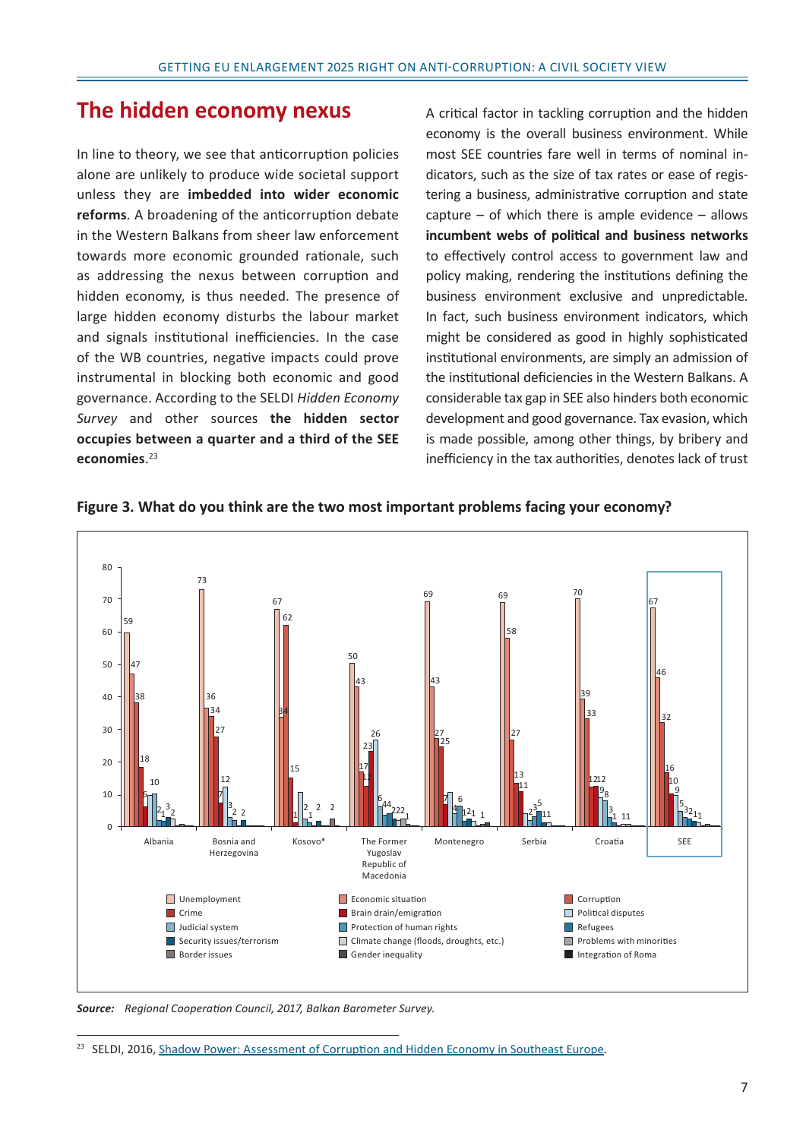### **The hidden economy nexus**

In line to theory, we see that anticorruption policies alone are unlikely to produce wide societal support unless they are **imbedded into wider economic reforms**. A broadening of the anticorruption debate in the Western Balkans from sheer law enforcement towards more economic grounded rationale, such as addressing the nexus between corruption and hidden economy, is thus needed. The presence of large hidden economy disturbs the labour market and signals institutional inefficiencies. In the case of the WB countries, negative impacts could prove instrumental in blocking both economic and good governance. According to the SELDI *Hidden Economy Survey* and other sources **the hidden sector occupies between a quarter and a third of the SEE economies**. 23

A critical factor in tackling corruption and the hidden economy is the overall business environment. While most SEE countries fare well in terms of nominal indicators, such as the size of tax rates or ease of registering a business, administrative corruption and state capture  $-$  of which there is ample evidence  $-$  allows **incumbent webs of political and business networks** to effectively control access to government law and policy making, rendering the institutions defining the business environment exclusive and unpredictable. In fact, such business environment indicators, which might be considered as good in highly sophisticated institutional environments, are simply an admission of the institutional deficiencies in the Western Balkans. A considerable tax gap in SEE also hinders both economic development and good governance. Tax evasion, which is made possible, among other things, by bribery and inefficiency in the tax authorities, denotes lack of trust



**Figure 3. What do you think are the two most important problems facing your economy?**

*Source: Regional Cooperation Council, 2017, Balkan Barometer Survey.*

<sup>&</sup>lt;sup>23</sup> SELDI, 2016, [Shadow Power: Assessment of Corruption and Hidden Economy in Southeast Europ](http://seldi.net/fileadmin/public/PDF/Publications/RAR_2016/SHADOW_POWER_EN_FINAL.pdf)e.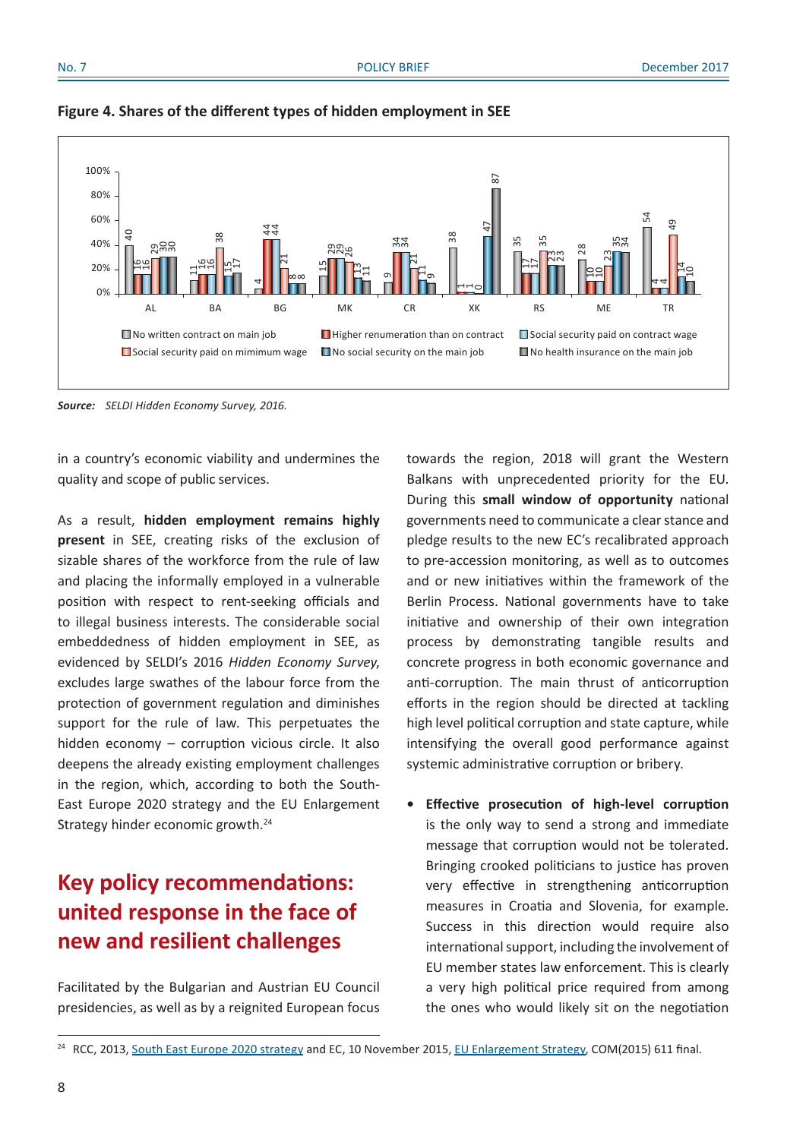



*Source: SELDI Hidden Economy Survey, 2016.*

in a country's economic viability and undermines the quality and scope of public services.

As a result, **hidden employment remains highly present** in SEE, creating risks of the exclusion of sizable shares of the workforce from the rule of law and placing the informally employed in a vulnerable position with respect to rent-seeking officials and to illegal business interests. The considerable social embeddedness of hidden employment in SEE, as evidenced by SELDI's 2016 *Hidden Economy Survey*, excludes large swathes of the labour force from the protection of government regulation and diminishes support for the rule of law. This perpetuates the hidden economy – corruption vicious circle. It also deepens the already existing employment challenges in the region, which, according to both the South-East Europe 2020 strategy and the EU Enlargement Strategy hinder economic growth.<sup>24</sup>

# **Key policy recommendations: united response in the face of new and resilient challenges**

Facilitated by the Bulgarian and Austrian EU Council presidencies, as well as by a reignited European focus

towards the region, 2018 will grant the Western Balkans with unprecedented priority for the EU. During this **small window of opportunity** national governments need to communicate a clearstance and pledge results to the new EC's recalibrated approach to pre-accession monitoring, as well as to outcomes and or new initiatives within the framework of the Berlin Process. National governments have to take initiative and ownership of their own integration process by demonstrating tangible results and concrete progress in both economic governance and anti-corruption. The main thrust of anticorruption efforts in the region should be directed at tackling high level political corruption and state capture, while intensifying the overall good performance against systemic administrative corruption or bribery.

**• Effective prosecution of high-level corruption** is the only way to send a strong and immediate message that corruption would not be tolerated. Bringing crooked politicians to justice has proven very effective in strengthening anticorruption measures in Croatia and Slovenia, for example. Success in this direction would require also international support, including the involvement of EU member states law enforcement. This is clearly a very high political price required from among the ones who would likely sit on the negotiation

<sup>&</sup>lt;sup>24</sup> RCC, 2013, South East Europe 2020 [strategy](http://www.rcc.int/files/user/docs/reports/SEE2020-Strategy.pdf) and EC, 10 November 2015, EU [Enlargement](https://ec.europa.eu/neighbourhood-enlargement/sites/near/files/pdf/key_documents/2015/20151110_strategy_paper_en.pdf) Strategy, COM(2015) 611 final.